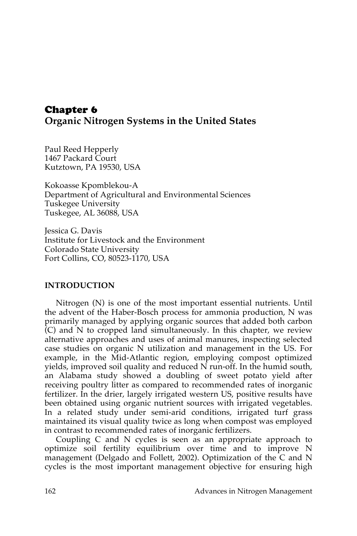# Chapter 6 **Organic Nitrogen Systems in the United States**

Paul Reed Hepperly 1467 Packard Court Kutztown, PA 19530, USA

Kokoasse Kpomblekou-A Department of Agricultural and Environmental Sciences Tuskegee University Tuskegee, AL 36088, USA

Jessica G. Davis Institute for Livestock and the Environment Colorado State University Fort Collins, CO, 80523-1170, USA

## **INTRODUCTION**

Nitrogen (N) is one of the most important essential nutrients. Until the advent of the Haber-Bosch process for ammonia production, N was primarily managed by applying organic sources that added both carbon (C) and N to cropped land simultaneously. In this chapter, we review alternative approaches and uses of animal manures, inspecting selected case studies on organic N utilization and management in the US. For example, in the Mid-Atlantic region, employing compost optimized yields, improved soil quality and reduced N run-off. In the humid south, an Alabama study showed a doubling of sweet potato yield after receiving poultry litter as compared to recommended rates of inorganic fertilizer. In the drier, largely irrigated western US, positive results have been obtained using organic nutrient sources with irrigated vegetables. In a related study under semi-arid conditions, irrigated turf grass maintained its visual quality twice as long when compost was employed in contrast to recommended rates of inorganic fertilizers.

Coupling C and N cycles is seen as an appropriate approach to optimize soil fertility equilibrium over time and to improve N management (Delgado and Follett, 2002). Optimization of the C and N cycles is the most important management objective for ensuring high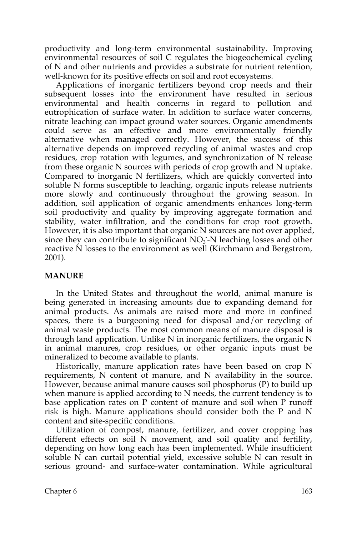productivity and long-term environmental sustainability. Improving environmental resources of soil C regulates the biogeochemical cycling of N and other nutrients and provides a substrate for nutrient retention, well-known for its positive effects on soil and root ecosystems.

Applications of inorganic fertilizers beyond crop needs and their subsequent losses into the environment have resulted in serious environmental and health concerns in regard to pollution and eutrophication of surface water. In addition to surface water concerns, nitrate leaching can impact ground water sources. Organic amendments could serve as an effective and more environmentally friendly alternative when managed correctly. However, the success of this alternative depends on improved recycling of animal wastes and crop residues, crop rotation with legumes, and synchronization of N release from these organic N sources with periods of crop growth and N uptake. Compared to inorganic N fertilizers, which are quickly converted into soluble N forms susceptible to leaching, organic inputs release nutrients more slowly and continuously throughout the growing season. In addition, soil application of organic amendments enhances long-term soil productivity and quality by improving aggregate formation and stability, water infiltration, and the conditions for crop root growth. However, it is also important that organic N sources are not over applied, since they can contribute to significant  $NO<sub>3</sub>$ -N leaching losses and other reactive N losses to the environment as well (Kirchmann and Bergstrom, 2001).

### **MANURE**

In the United States and throughout the world, animal manure is being generated in increasing amounts due to expanding demand for animal products. As animals are raised more and more in confined spaces, there is a burgeoning need for disposal and/or recycling of animal waste products. The most common means of manure disposal is through land application. Unlike N in inorganic fertilizers, the organic N in animal manures, crop residues, or other organic inputs must be mineralized to become available to plants.

Historically, manure application rates have been based on crop N requirements, N content of manure, and N availability in the source. However, because animal manure causes soil phosphorus (P) to build up when manure is applied according to N needs, the current tendency is to base application rates on P content of manure and soil when P runoff risk is high. Manure applications should consider both the P and N content and site-specific conditions.

Utilization of compost, manure, fertilizer, and cover cropping has different effects on soil N movement, and soil quality and fertility, depending on how long each has been implemented. While insufficient soluble N can curtail potential yield, excessive soluble N can result in serious ground- and surface-water contamination. While agricultural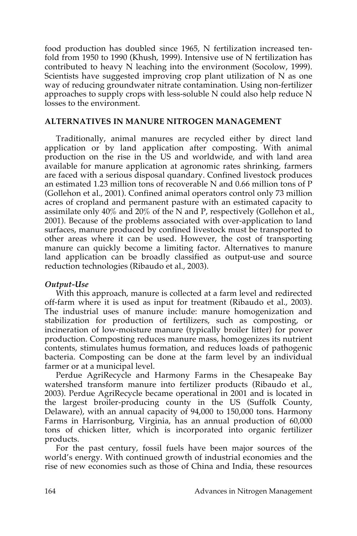food production has doubled since 1965, N fertilization increased tenfold from 1950 to 1990 (Khush, 1999). Intensive use of N fertilization has contributed to heavy N leaching into the environment (Socolow, 1999). Scientists have suggested improving crop plant utilization of N as one way of reducing groundwater nitrate contamination. Using non-fertilizer approaches to supply crops with less-soluble N could also help reduce N losses to the environment.

### **ALTERNATIVES IN MANURE NITROGEN MANAGEMENT**

Traditionally, animal manures are recycled either by direct land application or by land application after composting. With animal production on the rise in the US and worldwide, and with land area available for manure application at agronomic rates shrinking, farmers are faced with a serious disposal quandary. Confined livestock produces an estimated 1.23 million tons of recoverable N and 0.66 million tons of P (Gollehon et al., 2001). Confined animal operators control only 73 million acres of cropland and permanent pasture with an estimated capacity to assimilate only 40% and 20% of the N and P, respectively (Gollehon et al., 2001). Because of the problems associated with over-application to land surfaces, manure produced by confined livestock must be transported to other areas where it can be used. However, the cost of transporting manure can quickly become a limiting factor. Alternatives to manure land application can be broadly classified as output-use and source reduction technologies (Ribaudo et al., 2003).

### *Output-Use*

With this approach, manure is collected at a farm level and redirected off-farm where it is used as input for treatment (Ribaudo et al., 2003). The industrial uses of manure include: manure homogenization and stabilization for production of fertilizers, such as composting, or incineration of low-moisture manure (typically broiler litter) for power production. Composting reduces manure mass, homogenizes its nutrient contents, stimulates humus formation, and reduces loads of pathogenic bacteria. Composting can be done at the farm level by an individual farmer or at a municipal level.

Perdue AgriRecycle and Harmony Farms in the Chesapeake Bay watershed transform manure into fertilizer products (Ribaudo et al., 2003). Perdue AgriRecycle became operational in 2001 and is located in the largest broiler-producing county in the US (Suffolk County, Delaware), with an annual capacity of 94,000 to 150,000 tons. Harmony Farms in Harrisonburg, Virginia, has an annual production of 60,000 tons of chicken litter, which is incorporated into organic fertilizer products.

For the past century, fossil fuels have been major sources of the world's energy. With continued growth of industrial economies and the rise of new economies such as those of China and India, these resources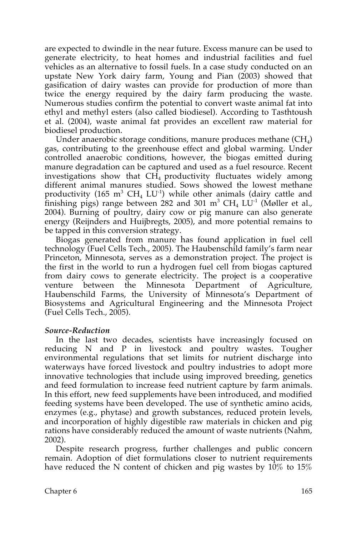are expected to dwindle in the near future. Excess manure can be used to generate electricity, to heat homes and industrial facilities and fuel vehicles as an alternative to fossil fuels. In a case study conducted on an upstate New York dairy farm, Young and Pian (2003) showed that gasification of dairy wastes can provide for production of more than twice the energy required by the dairy farm producing the waste. Numerous studies confirm the potential to convert waste animal fat into ethyl and methyl esters (also called biodiesel). According to Tasthtoush et al. (2004), waste animal fat provides an excellent raw material for biodiesel production.

Under anaerobic storage conditions, manure produces methane  $CH_4$ ) gas, contributing to the greenhouse effect and global warming. Under controlled anaerobic conditions, however, the biogas emitted during manure degradation can be captured and used as a fuel resource. Recent investigations show that  $CH<sub>4</sub>$  productivity fluctuates widely among different animal manures studied. Sows showed the lowest methane productivity (165  $\mathrm{m}^{3}$  CH<sub>4</sub> LU<sup>-1</sup>) while other animals (dairy cattle and finishing pigs) range between 282 and 301  $\mathrm{m}^3$  CH<sub>4</sub> LU<sup>-1</sup> (Møller et al., 2004). Burning of poultry, dairy cow or pig manure can also generate energy (Reijnders and Huijbregts, 2005), and more potential remains to be tapped in this conversion strategy.

Biogas generated from manure has found application in fuel cell technology (Fuel Cells Tech., 2005). The Haubenschild family's farm near Princeton, Minnesota, serves as a demonstration project. The project is the first in the world to run a hydrogen fuel cell from biogas captured from dairy cows to generate electricity. The project is a cooperative venture between the Minnesota Department of Agriculture, Haubenschild Farms, the University of Minnesota's Department of Biosystems and Agricultural Engineering and the Minnesota Project (Fuel Cells Tech., 2005).

### *Source-Reduction*

In the last two decades, scientists have increasingly focused on reducing N and P in livestock and poultry wastes. Tougher environmental regulations that set limits for nutrient discharge into waterways have forced livestock and poultry industries to adopt more innovative technologies that include using improved breeding, genetics and feed formulation to increase feed nutrient capture by farm animals. In this effort, new feed supplements have been introduced, and modified feeding systems have been developed. The use of synthetic amino acids, enzymes (e.g., phytase) and growth substances, reduced protein levels, and incorporation of highly digestible raw materials in chicken and pig rations have considerably reduced the amount of waste nutrients (Nahm, 2002).

Despite research progress, further challenges and public concern remain. Adoption of diet formulations closer to nutrient requirements have reduced the N content of chicken and pig wastes by 10% to 15%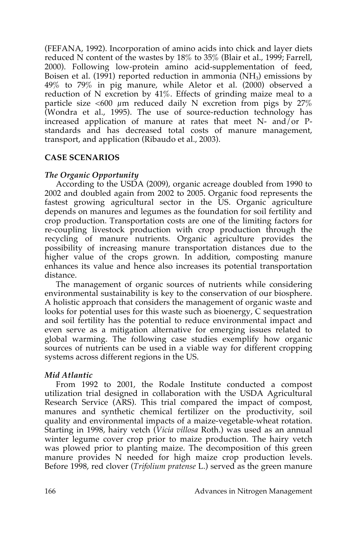(FEFANA, 1992). Incorporation of amino acids into chick and layer diets reduced N content of the wastes by 18% to 35% (Blair et al., 1999; Farrell, 2000). Following low-protein amino acid-supplementation of feed, Boisen et al. (1991) reported reduction in ammonia  $(NH_3)$  emissions by 49% to 79% in pig manure, while Aletor et al. (2000) observed a reduction of N excretion by 41%. Effects of grinding maize meal to a particle size <600  $\mu$ m reduced daily N excretion from pigs by 27% (Wondra et al., 1995). The use of source-reduction technology has increased application of manure at rates that meet  $N-$  and or  $P$ standards and has decreased total costs of manure management, transport, and application (Ribaudo et al., 2003).

## **CASE SCENARIOS**

## *The Organic Opportunity*

According to the USDA (2009), organic acreage doubled from 1990 to 2002 and doubled again from 2002 to 2005. Organic food represents the fastest growing agricultural sector in the US. Organic agriculture depends on manures and legumes as the foundation for soil fertility and crop production. Transportation costs are one of the limiting factors for re-coupling livestock production with crop production through the recycling of manure nutrients. Organic agriculture provides the possibility of increasing manure transportation distances due to the higher value of the crops grown. In addition, composting manure enhances its value and hence also increases its potential transportation distance.

The management of organic sources of nutrients while considering environmental sustainability is key to the conservation of our biosphere. A holistic approach that considers the management of organic waste and looks for potential uses for this waste such as bioenergy, C sequestration and soil fertility has the potential to reduce environmental impact and even serve as a mitigation alternative for emerging issues related to global warming. The following case studies exemplify how organic sources of nutrients can be used in a viable way for different cropping systems across different regions in the US.

## *Mid Atlantic*

From 1992 to 2001, the Rodale Institute conducted a compost utilization trial designed in collaboration with the USDA Agricultural Research Service (ARS). This trial compared the impact of compost, manures and synthetic chemical fertilizer on the productivity, soil quality and environmental impacts of a maize-vegetable-wheat rotation. Starting in 1998, hairy vetch (*Vicia villosa* Roth.) was used as an annual winter legume cover crop prior to maize production. The hairy vetch was plowed prior to planting maize. The decomposition of this green manure provides N needed for high maize crop production levels. Before 1998, red clover (*Trifolium pratense* L.) served as the green manure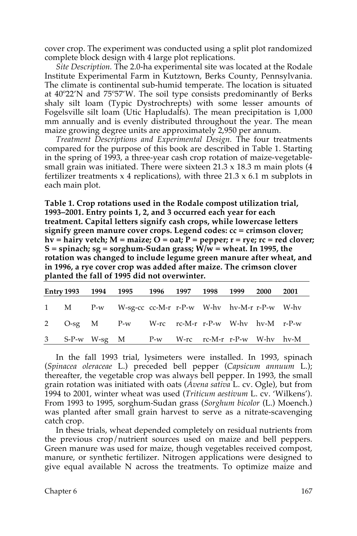cover crop. The experiment was conducted using a split plot randomized complete block design with 4 large plot replications.

*Site Description.* The 2.0-ha experimental site was located at the Rodale Institute Experimental Farm in Kutztown, Berks County, Pennsylvania. The climate is continental sub-humid temperate. The location is situated at 40º22'N and 75º57'W. The soil type consists predominantly of Berks shaly silt loam (Typic Dystrochrepts) with some lesser amounts of Fogelsville silt loam (Utic Hapludalfs). The mean precipitation is 1,000 mm annually and is evenly distributed throughout the year. The mean maize growing degree units are approximately 2,950 per annum.

*Treatment Descriptions and Experimental Design.* The four treatments compared for the purpose of this book are described in Table 1. Starting in the spring of 1993, a three-year cash crop rotation of maize-vegetablesmall grain was initiated. There were sixteen 21.3 x 18.3 m main plots (4 fertilizer treatments  $x$  4 replications), with three 21.3  $x$  6.1 m subplots in each main plot.

**Table 1. Crop rotations used in the Rodale compost utilization trial, 1993–2001. Entry points 1, 2, and 3 occurred each year for each treatment. Capital letters signify cash crops, while lowercase letters signify green manure cover crops. Legend codes: cc = crimson clover; hv = hairy vetch; M = maize; O = oat; P = pepper; r = rye; rc = red clover; S = spinach; sg = sorghum-Sudan grass; W/w = wheat. In 1995, the rotation was changed to include legume green manure after wheat, and in 1996, a rye cover crop was added after maize. The crimson clover planted the fall of 1995 did not overwinter.**

|  | Entry 1993 1994 1995 1996 1997 1998 1999 2000 2001  |  |  |  |
|--|-----------------------------------------------------|--|--|--|
|  | 1 M P-w W-sg-cc cc-M-r r-P-w W-hv hv-M-r r-P-w W-hv |  |  |  |
|  | 2 O-sg M P-w W-rc rc-M-r r-P-w W-hv hv-M r-P-w      |  |  |  |
|  | 3 S-P-w W-sg M P-w W-rc rc-M-r r-P-w W-hv hv-M      |  |  |  |

In the fall 1993 trial, lysimeters were installed. In 1993, spinach (*Spinacea oleraceae* L.) preceded bell pepper (*Capsicum annuum* L.); thereafter, the vegetable crop was always bell pepper. In 1993, the small grain rotation was initiated with oats (*Avena sativa* L. cv. Ogle), but from 1994 to 2001, winter wheat was used (*Triticum aestivum* L. cv. 'Wilkens'). From 1993 to 1995, sorghum-Sudan grass (*Sorghum bicolor* (L.) Moench.) was planted after small grain harvest to serve as a nitrate-scavenging catch crop.

In these trials, wheat depended completely on residual nutrients from the previous crop/nutrient sources used on maize and bell peppers. Green manure was used for maize, though vegetables received compost, manure, or synthetic fertilizer. Nitrogen applications were designed to give equal available N across the treatments. To optimize maize and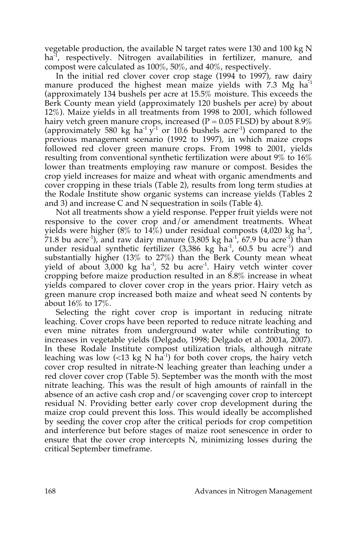vegetable production, the available N target rates were 130 and 100 kg N ha<sup>-1</sup>, respectively. Nitrogen availabilities in fertilizer, manure, and compost were calculated as 100%, 50%, and 40%, respectively.

In the initial red clover cover crop stage (1994 to 1997), raw dairy manure produced the highest mean maize yields with 7.3 Mg ha<sup>-1</sup> (approximately 134 bushels per acre at 15.5% moisture. This exceeds the Berk County mean yield (approximately 120 bushels per acre) by about 12%). Maize yields in all treatments from 1998 to 2001, which followed hairy vetch green manure crops, increased ( $P = 0.05$  FLSD) by about 8.9% (approximately 580 kg ha<sup>-1</sup> y<sup>-1</sup> or 10.6 bushels acre<sup>-1</sup>) compared to the previous management scenario (1992 to 1997), in which maize crops followed red clover green manure crops. From 1998 to 2001, yields resulting from conventional synthetic fertilization were about 9% to 16% lower than treatments employing raw manure or compost. Besides the crop yield increases for maize and wheat with organic amendments and cover cropping in these trials (Table 2), results from long term studies at the Rodale Institute show organic systems can increase yields (Tables 2 and 3) and increase C and N sequestration in soils (Table 4).

Not all treatments show a yield response. Pepper fruit yields were not responsive to the cover crop and/or amendment treatments. Wheat yields were higher (8% to 14%) under residual composts (4,020 kg ha<sup>-1</sup>, 71.8 bu acre<sup>-1</sup>), and raw dairy manure (3,805 kg ha<sup>-1</sup>, 67.9 bu acre<sup>-1</sup>) than under residual synthetic fertilizer  $(3,386 \text{ kg} \text{ ha}^{-1}, 60.5 \text{ bu} \text{ acre}^{-1})$  and substantially higher (13% to 27%) than the Berk County mean wheat yield of about  $3,000 \text{ kg}$  ha<sup>-1</sup>, 52 bu acre<sup>-1</sup>. Hairy vetch winter cover cropping before maize production resulted in an 8.8% increase in wheat yields compared to clover cover crop in the years prior. Hairy vetch as green manure crop increased both maize and wheat seed N contents by about 16% to 17%.

Selecting the right cover crop is important in reducing nitrate leaching. Cover crops have been reported to reduce nitrate leaching and even mine nitrates from underground water while contributing to increases in vegetable yields (Delgado, 1998; Delgado et al. 2001a, 2007). In these Rodale Institute compost utilization trials, although nitrate leaching was low  $\left($  <13 kg N ha<sup>-1</sup>) for both cover crops, the hairy vetch cover crop resulted in nitrate-N leaching greater than leaching under a red clover cover crop (Table 5). September was the month with the most nitrate leaching. This was the result of high amounts of rainfall in the absence of an active cash crop and/or scavenging cover crop to intercept residual N. Providing better early cover crop development during the maize crop could prevent this loss. This would ideally be accomplished by seeding the cover crop after the critical periods for crop competition and interference but before stages of maize root senescence in order to ensure that the cover crop intercepts N, minimizing losses during the critical September timeframe.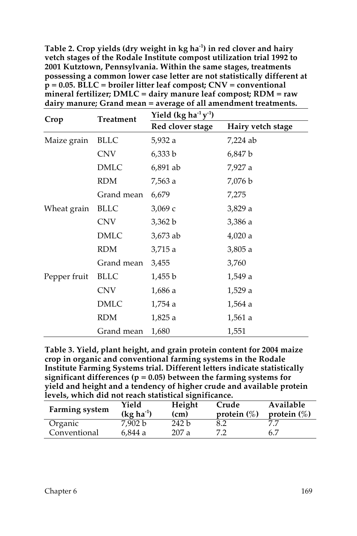| $\frac{1}{2}$<br>$m$ and $m$ is $m$ is $n$ if $n$ is $n$ if $n$ is $n$ if $n$ is $n$ if $n$ is $n$ is $n$ if $n$ is $n$ is $n$ is $n$ is $n$ is $n$ is $n$ is $n$ is $n$ is $n$ is $n$ is $n$ is $n$ is $n$ is $n$ is $n$ is $n$ is $n$ is $n$<br>dairy manure; Grand mean = average of all amendment treatments. |             |                       |                   |  |  |
|-------------------------------------------------------------------------------------------------------------------------------------------------------------------------------------------------------------------------------------------------------------------------------------------------------------------|-------------|-----------------------|-------------------|--|--|
| Crop                                                                                                                                                                                                                                                                                                              | Treatment   | Yield $(kg ha-1 y-1)$ |                   |  |  |
|                                                                                                                                                                                                                                                                                                                   |             | Red clover stage      | Hairy vetch stage |  |  |
| Maize grain                                                                                                                                                                                                                                                                                                       | <b>BLLC</b> | 5,932 a               | 7,224 ab          |  |  |
|                                                                                                                                                                                                                                                                                                                   | <b>CNV</b>  | 6,333 b               | 6,847 b           |  |  |
|                                                                                                                                                                                                                                                                                                                   | <b>DMLC</b> | 6,891 ab              | 7,927 a           |  |  |
|                                                                                                                                                                                                                                                                                                                   | RDM         | 7,563 a               | 7,076 b           |  |  |
|                                                                                                                                                                                                                                                                                                                   | Grand mean  | 6,679                 | 7,275             |  |  |
| Wheat grain                                                                                                                                                                                                                                                                                                       | <b>BLLC</b> | 3,069c                | 3,829 a           |  |  |
|                                                                                                                                                                                                                                                                                                                   | CNV         | 3,362 b               | 3,386 a           |  |  |
|                                                                                                                                                                                                                                                                                                                   | <b>DMLC</b> | 3,673 ab              | 4,020a            |  |  |
|                                                                                                                                                                                                                                                                                                                   | <b>RDM</b>  | 3,715 a               | 3,805 a           |  |  |
|                                                                                                                                                                                                                                                                                                                   | Grand mean  | 3,455                 | 3,760             |  |  |
| Pepper fruit                                                                                                                                                                                                                                                                                                      | <b>BLLC</b> | 1,455 b               | 1,549 a           |  |  |
|                                                                                                                                                                                                                                                                                                                   | CNV         | 1,686 a               | 1,529a            |  |  |
|                                                                                                                                                                                                                                                                                                                   | <b>DMLC</b> | 1,754 a               | 1,564 a           |  |  |
|                                                                                                                                                                                                                                                                                                                   | <b>RDM</b>  | 1,825 a               | 1,561 a           |  |  |
|                                                                                                                                                                                                                                                                                                                   | Grand mean  | 1,680                 | 1,551             |  |  |

**Table 2. Crop yields (dry weight in kg ha-1 ) in red clover and hairy vetch stages of the Rodale Institute compost utilization trial 1992 to 2001 Kutztown, Pennsylvania. Within the same stages, treatments possessing a common lower case letter are not statistically different at p = 0.05. BLLC = broiler litter leaf compost; CNV = conventional mineral fertilizer; DMLC = dairy manure leaf compost; RDM = raw** 

**Table 3. Yield, plant height, and grain protein content for 2004 maize crop in organic and conventional farming systems in the Rodale Institute Farming Systems trial. Different letters indicate statistically significant differences (p = 0.05) between the farming systems for yield and height and a tendency of higher crude and available protein levels, which did not reach statistical significance.**

| Farming system | Yield<br>$(kg ha-1)$ | Height<br>(cm) | Crude<br>protein $(\%)$ | Available<br>protein $(\%)$ |
|----------------|----------------------|----------------|-------------------------|-----------------------------|
| Organic        | 7.902 b              | 242 b          | 8.2                     |                             |
| Conventional   | 6.844a               | 207a           | 7 7                     | 6.7                         |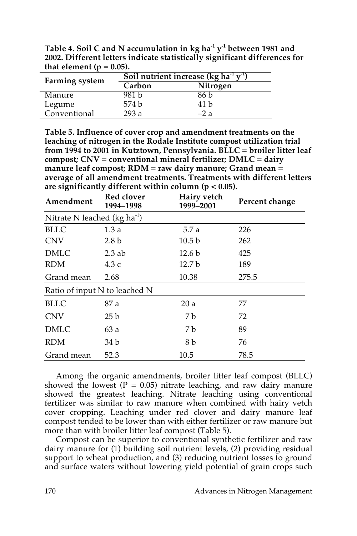**Table 4. Soil C and N accumulation in kg ha-1 y-1 between 1981 and 2002. Different letters indicate statistically significant differences for**  that element ( $p = 0.05$ ).

| <b>Farming system</b> | Soil nutrient increase (kg ha <sup>-1</sup> $y$ <sup>-1</sup> ) |          |  |  |  |
|-----------------------|-----------------------------------------------------------------|----------|--|--|--|
|                       | Carbon                                                          | Nitrogen |  |  |  |
| Manure                | 981 b                                                           | 86 b     |  |  |  |
| Legume                | 574 b                                                           | 41 h     |  |  |  |
| Conventional          | 293a                                                            | $-2a$    |  |  |  |

**Table 5. Influence of cover crop and amendment treatments on the leaching of nitrogen in the Rodale Institute compost utilization trial from 1994 to 2001 in Kutztown, Pennsylvania. BLLC = broiler litter leaf compost; CNV = conventional mineral fertilizer; DMLC = dairy manure leaf compost; RDM = raw dairy manure; Grand mean = average of all amendment treatments. Treatments with different letters are significantly different within column (p < 0.05).**

| Amendment                             | Red clover<br>1994-1998 | Hairy vetch<br>1999-2001 | Percent change |  |  |  |
|---------------------------------------|-------------------------|--------------------------|----------------|--|--|--|
| Nitrate N leached ( $kg \, ha^{-1}$ ) |                         |                          |                |  |  |  |
| <b>BLLC</b>                           | 1.3a                    | 5.7 a                    | 226            |  |  |  |
| <b>CNV</b>                            | 2.8 <sub>b</sub>        | 10.5 <sub>b</sub>        | 262            |  |  |  |
| <b>DMLC</b>                           | $2.3$ ab                | 12.6 <sub>b</sub>        | 425            |  |  |  |
| <b>RDM</b>                            | 4.3 c                   | 12.7 <sub>b</sub>        | 189            |  |  |  |
| Grand mean                            | 2.68                    | 10.38                    | 275.5          |  |  |  |
| Ratio of input N to leached N         |                         |                          |                |  |  |  |
| <b>BLLC</b>                           | 87 a                    | 20a                      | 77             |  |  |  |
| <b>CNV</b>                            | 25 <sub>b</sub>         | 7 b                      | 72             |  |  |  |
| <b>DMLC</b>                           | 63a                     | 7 b                      | 89             |  |  |  |
| <b>RDM</b>                            | 34 b                    | 8 b                      | 76             |  |  |  |
| Grand mean                            | 52.3                    | 10.5                     | 78.5           |  |  |  |

Among the organic amendments, broiler litter leaf compost (BLLC) showed the lowest ( $P = 0.05$ ) nitrate leaching, and raw dairy manure showed the greatest leaching. Nitrate leaching using conventional fertilizer was similar to raw manure when combined with hairy vetch cover cropping. Leaching under red clover and dairy manure leaf compost tended to be lower than with either fertilizer or raw manure but more than with broiler litter leaf compost (Table 5).

Compost can be superior to conventional synthetic fertilizer and raw dairy manure for (1) building soil nutrient levels, (2) providing residual support to wheat production, and (3) reducing nutrient losses to ground and surface waters without lowering yield potential of grain crops such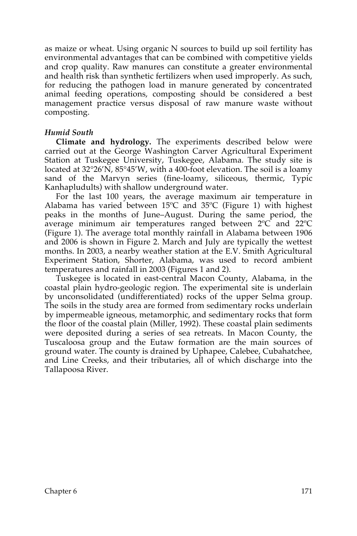as maize or wheat. Using organic N sources to build up soil fertility has environmental advantages that can be combined with competitive yields and crop quality. Raw manures can constitute a greater environmental and health risk than synthetic fertilizers when used improperly. As such, for reducing the pathogen load in manure generated by concentrated animal feeding operations, composting should be considered a best management practice versus disposal of raw manure waste without composting.

### *Humid South*

**Climate and hydrology.** The experiments described below were carried out at the George Washington Carver Agricultural Experiment Station at Tuskegee University, Tuskegee, Alabama. The study site is located at 32°26'N, 85°45'W, with a 400-foot elevation. The soil is a loamy sand of the Marvyn series (fine-loamy, siliceous, thermic, Typic Kanhapludults) with shallow underground water.

For the last 100 years, the average maximum air temperature in Alabama has varied between  $15^{\circ}$ C and  $35^{\circ}$ C (Figure 1) with highest peaks in the months of June–August. During the same period, the average minimum air temperatures ranged between 2ºC and 22ºC (Figure 1). The average total monthly rainfall in Alabama between 1906 and 2006 is shown in Figure 2. March and July are typically the wettest months. In 2003, a nearby weather station at the E.V. Smith Agricultural Experiment Station, Shorter, Alabama, was used to record ambient temperatures and rainfall in 2003 (Figures 1 and 2).

Tuskegee is located in east-central Macon County, Alabama, in the coastal plain hydro-geologic region. The experimental site is underlain by unconsolidated (undifferentiated) rocks of the upper Selma group. The soils in the study area are formed from sedimentary rocks underlain by impermeable igneous, metamorphic, and sedimentary rocks that form the floor of the coastal plain (Miller, 1992). These coastal plain sediments were deposited during a series of sea retreats. In Macon County, the Tuscaloosa group and the Eutaw formation are the main sources of ground water. The county is drained by Uphapee, Calebee, Cubahatchee, and Line Creeks, and their tributaries, all of which discharge into the Tallapoosa River.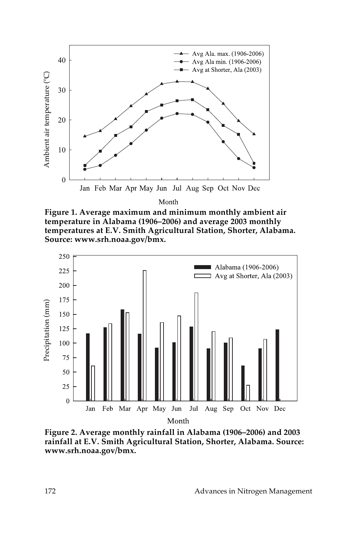

Month

**Figure 1. Average maximum and minimum monthly ambient air temperature in Alabama (1906–2006) and average 2003 monthly temperatures at E.V. Smith Agricultural Station, Shorter, Alabama. Source: www.srh.noaa.gov/bmx.**



**Figure 2. Average monthly rainfall in Alabama (1906–2006) and 2003 rainfall at E.V. Smith Agricultural Station, Shorter, Alabama. Source:**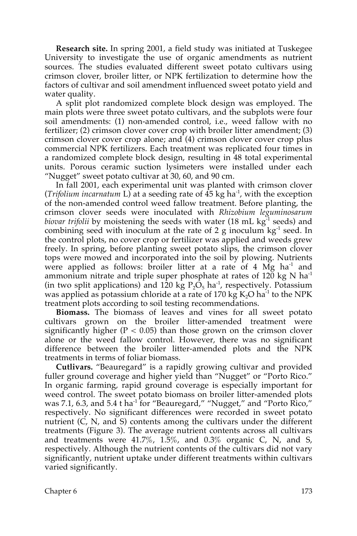**Research site.** In spring 2001, a field study was initiated at Tuskegee University to investigate the use of organic amendments as nutrient sources. The studies evaluated different sweet potato cultivars using crimson clover, broiler litter, or NPK fertilization to determine how the factors of cultivar and soil amendment influenced sweet potato yield and water quality.

A split plot randomized complete block design was employed. The main plots were three sweet potato cultivars, and the subplots were four soil amendments: (1) non-amended control, i.e., weed fallow with no fertilizer; (2) crimson clover cover crop with broiler litter amendment; (3) crimson clover cover crop alone; and  $(4)$  crimson clover cover crop plus commercial NPK fertilizers. Each treatment was replicated four times in a randomized complete block design, resulting in 48 total experimental units. Porous ceramic suction lysimeters were installed under each "Nugget" sweet potato cultivar at 30, 60, and 90 cm.

In fall 2001, each experimental unit was planted with crimson clover (*Trifolium incarnatum* L) at a seeding rate of 45 kg ha-1 , with the exception of the non-amended control weed fallow treatment. Before planting, the crimson clover seeds were inoculated with *Rhizobium leguminosarum biovar trifolii* by moistening the seeds with water (18 mL kg<sup>-1</sup> seeds) and combining seed with inoculum at the rate of 2 g inoculum  $kg<sup>-1</sup>$  seed. In the control plots, no cover crop or fertilizer was applied and weeds grew freely. In spring, before planting sweet potato slips, the crimson clover tops were mowed and incorporated into the soil by plowing. Nutrients were applied as follows: broiler litter at a rate of 4  $\overline{Mg}$  ha<sup>-1</sup> and ammonium nitrate and triple super phosphate at rates of  $120 \text{ kg N}$  ha<sup>-1</sup> (in two split applications) and 120 kg  $P_2O_5$  ha<sup>-1</sup>, respectively. Potassium was applied as potassium chloride at a rate of 170 kg  $\rm K_2O$  ha $^{\text{-1}}$  to the NPK treatment plots according to soil testing recommendations.

**Biomass.** The biomass of leaves and vines for all sweet potato cultivars grown on the broiler litter-amended treatment were significantly higher ( $P < 0.05$ ) than those grown on the crimson clover alone or the weed fallow control. However, there was no significant difference between the broiler litter-amended plots and the NPK treatments in terms of foliar biomass.

**Cutlivars.** "Beauregard" is a rapidly growing cultivar and provided fuller ground coverage and higher yield than "Nugget" or "Porto Rico." In organic farming, rapid ground coverage is especially important for weed control. The sweet potato biomass on broiler litter-amended plots was 7.1, 6.3, and 5.4 t ha<sup>-1</sup> for "Beauregard," "Nugget," and "Porto Rico," respectively. No significant differences were recorded in sweet potato nutrient (C, N, and S) contents among the cultivars under the different treatments (Figure 3). The average nutrient contents across all cultivars and treatments were  $41.7\%$ ,  $1.5\%$ , and  $0.3\%$  organic C, N, and S, respectively. Although the nutrient contents of the cultivars did not vary significantly, nutrient uptake under different treatments within cultivars varied significantly.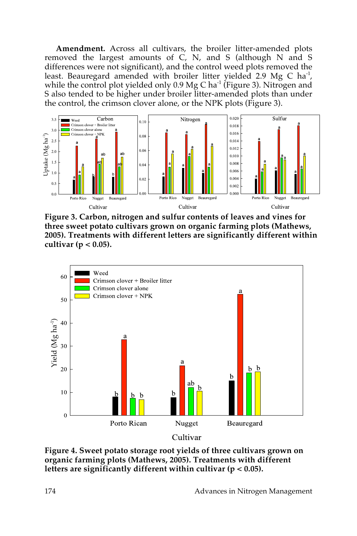**Amendment.** Across all cultivars, the broiler litter-amended plots removed the largest amounts of  $\dot{C}$ , N, and S (although N and S differences were not significant), and the control weed plots removed the least. Beauregard amended with broiler litter yielded 2.9 Mg C ha<sup>-1</sup>, while the control plot yielded only  $0.9 \text{ Mg C}$  ha<sup>-1</sup> (Figure 3). Nitrogen and S also tended to be higher under broiler litter-amended plots than under the control, the crimson clover alone, or the NPK plots (Figure 3).



**Figure 3. Carbon, nitrogen and sulfur contents of leaves and vines for three sweet potato cultivars grown on organic farming plots (Mathews, 2005). Treatments with different letters are significantly different within cultivar (p < 0.05).**



**Figure 4. Sweet potato storage root yields of three cultivars grown on organic farming plots (Mathews, 2005). Treatments with different**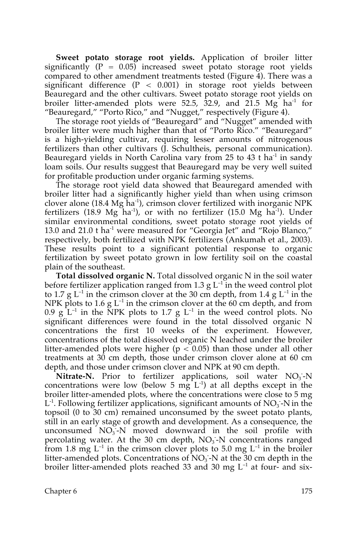**Sweet potato storage root yields.** Application of broiler litter significantly  $(P = 0.05)$  increased sweet potato storage root yields compared to other amendment treatments tested (Figure 4). There was a significant difference  $(P < 0.001)$  in storage root yields between Beauregard and the other cultivars. Sweet potato storage root yields on broiler litter-amended plots were 52.5,  $\overline{3}$ 2.9, and  $2\overline{1}$ .5 Mg ha<sup>-1</sup> for "Beauregard," "Porto Rico," and "Nugget," respectively (Figure 4).

The storage root yields of "Beauregard" and "Nugget" amended with broiler litter were much higher than that of "Porto Rico." "Beauregard" is a high-yielding cultivar, requiring lesser amounts of nitrogenous fertilizers than other cultivars (J. Schultheis, personal communication). Beauregard yields in North Carolina vary from 25 to 43 t ha<sup>-1</sup> in sandy loam soils. Our results suggest that Beauregard may be very well suited for profitable production under organic farming systems.

The storage root yield data showed that Beauregard amended with broiler litter had a significantly higher yield than when using crimson clover alone (18.4 Mg  $\bar{h}a^{-1}$ ), crimson clover fertilized with inorganic NPK fertilizers (18.9 Mg ha<sup>-1</sup>), or with no fertilizer (15.0 Mg ha<sup>-1</sup>). Under similar environmental conditions, sweet potato storage root yields of 13.0 and 21.0 t ha<sup>-1</sup> were measured for "Georgia Jet" and "Rojo Blanco," respectively, both fertilized with NPK fertilizers (Ankumah et al., 2003). These results point to a significant potential response to organic fertilization by sweet potato grown in low fertility soil on the coastal plain of the southeast.

**Total dissolved organic N.** Total dissolved organic N in the soil water before fertilizer application ranged from 1.3 g  $L^{-1}$  in the weed control plot to 1.7 g  $L^{-1}$  in the crimson clover at the 30 cm depth, from 1.4 g  $L^{-1}$  in the NPK plots to 1.6 g  $L^{-1}$  in the crimson clover at the 60 cm depth, and from 0.9  $g$  L<sup>-1</sup> in the NPK plots to 1.7 g L<sup>-1</sup> in the weed control plots. No significant differences were found in the total dissolved organic N concentrations the first 10 weeks of the experiment. However, concentrations of the total dissolved organic N leached under the broiler litter-amended plots were higher ( $p < 0.05$ ) than those under all other treatments at 30 cm depth, those under crimson clover alone at 60 cm depth, and those under crimson clover and NPK at 90 cm depth.

Nitrate-N. Prior to fertilizer applications, soil water NO<sub>3</sub>-N concentrations were low (below 5  $mgL^{-1}$ ) at all depths except in the broiler litter-amended plots, where the concentrations were close to 5 mg  $L<sup>-1</sup>$ . Following fertilizer applications, significant amounts of  $NO<sub>3</sub>$ -N in the topsoil (0 to 30 cm) remained unconsumed by the sweet potato plants, still in an early stage of growth and development. As a consequence, the unconsumed NO<sub>3</sub>-N moved downward in the soil profile with percolating water. At the 30 cm depth,  $NO<sub>3</sub>$ -N concentrations ranged from 1.8 mg  $L^{-1}$  in the crimson clover plots to 5.0 mg  $L^{-1}$  in the broiler litter-amended plots. Concentrations of  $\overline{NO_3}$ -N at the 30 cm depth in the broiler litter-amended plots reached 33 and 30 mg  $L^{-1}$  at four- and six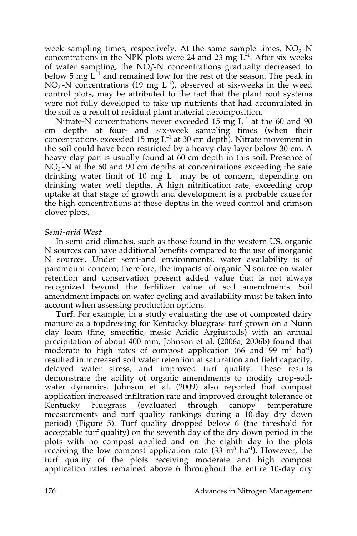week sampling times, respectively. At the same sample times, NO<sub>3</sub>-N concentrations in the NPK plots were 24 and 23 mg  $L^{-1}$ . After six weeks of water sampling, the  $N\tilde{O}_3$ -N concentrations gradually decreased to below 5 mg  $L^{-1}$  and remained low for the rest of the season. The peak in  $NO<sub>3</sub>$ -N concentrations (19 mg  $L^{-1}$ ), observed at six-weeks in the weed control plots, may be attributed to the fact that the plant root systems were not fully developed to take up nutrients that had accumulated in the soil as a result of residual plant material decomposition.

Nitrate-N concentrations never exceeded 15 mg  $L^{-1}$  at the 60 and 90 cm depths at four- and six-week sampling times (when their concentrations exceeded 15 mg  $L^{-1}$  at 30 cm depth). Nitrate movement in the soil could have been restricted by a heavy clay layer below 30 cm. A heavy clay pan is usually found at 60 cm depth in this soil. Presence of  $NO<sub>3</sub>$ -N at the 60 and 90 cm depths at concentrations exceeding the safe drinking water limit of 10  $m\dot{g}$  L<sup>-1</sup> may be of concern, depending on drinking water well depths. A high nitrification rate, exceeding crop uptake at that stage of growth and development is a probable cause for the high concentrations at these depths in the weed control and crimson clover plots.

### *Semi-arid West*

In semi-arid climates, such as those found in the western US, organic N sources can have additional benefits compared to the use of inorganic N sources. Under semi-arid environments, water availability is of paramount concern; therefore, the impacts of organic N source on water retention and conservation present added value that is not always recognized beyond the fertilizer value of soil amendments. Soil amendment impacts on water cycling and availability must be taken into account when assessing production options.

**Turf.** For example, in a study evaluating the use of composted dairy manure as a topdressing for Kentucky bluegrass turf grown on a Nunn clay loam (fine, smectitic, mesic Aridic Argiustolls) with an annual precipitation of about 400 mm, Johnson et al. (2006a, 2006b) found that moderate to high rates of compost application (66 and 99  $m^3$  ha<sup>-1</sup>) resulted in increased soil water retention at saturation and field capacity, delayed water stress, and improved turf quality. These results demonstrate the ability of organic amendments to modify crop-soilwater dynamics. Johnson et al. (2009) also reported that compost application increased infiltration rate and improved drought tolerance of Kentucky bluegrass (evaluated through canopy temperature measurements and turf quality rankings during a 10-day dry down period) (Figure 5). Turf quality dropped below 6 (the threshold for acceptable turf quality) on the seventh day of the dry down period in the plots with no compost applied and on the eighth day in the plots receiving the low compost application rate  $(33 \text{ m}^3 \text{ ha}^1)$ . However, the turf quality of the plots receiving moderate and high compost application rates remained above 6 throughout the entire 10-day dry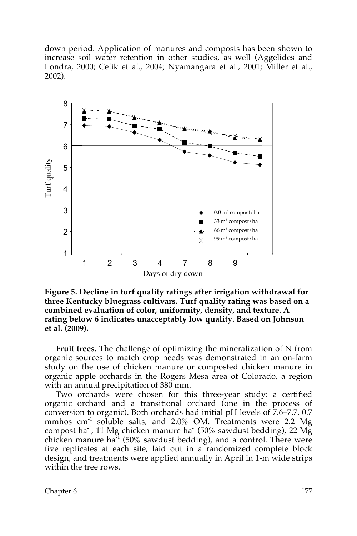down period. Application of manures and composts has been shown to increase soil water retention in other studies, as well (Aggelides and Londra, 2000; Celik et al., 2004; Nyamangara et al., 2001; Miller et al., 2002).



**Figure 5. Decline in turf quality ratings after irrigation withdrawal for**  m c o w **three Kentucky bluegrass cultivars. Turf quality rating was based on a**  3 o m n **combined evaluation of color, uniformity, density, and texture. A**  c m p rating below 6 indicates unacceptably low quality. Based on Johnson **et al. (2009).** m o s

**Fruit trees.** The challenge of optimizing the mineralization of N from organic sources to match crop needs was demonstrated in an on-farm study on the use of chicken manure or composted chicken manure in organic apple orchards in the Rogers Mesa area of Colorado, a region with an annual precipitation of 380 mm. h

Two orchards were chosen for this three-year study: a certified organic orchard and a transitional orchard (one in the process of conversion to organic). Both orchards had initial pH levels of 7.6–7.7, 0.7 mmhos  $\text{cm}^{-1}$  soluble salts, and 2.0% OM. Treatments were 2.2 Mg compost ha<sup>-1</sup>, 11 Mg chicken manure ha<sup>-1</sup> (50% sawdust bedding), 22 Mg chicken manure ha<sup>-1</sup> (50% sawdust bedding), and a control. There were five replicates at each site, laid out in a randomized complete block design, and treatments were applied annually in April in 1-m wide strips within the tree rows.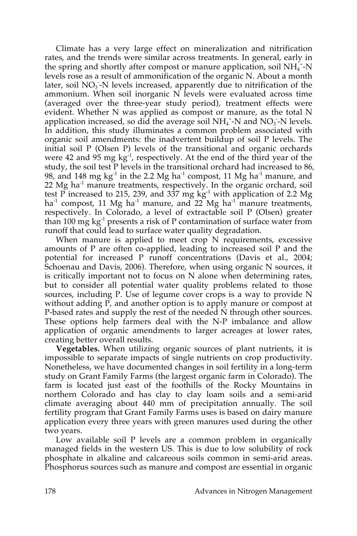Climate has a very large effect on mineralization and nitrification rates, and the trends were similar across treatments. In general, early in the spring and shortly after compost or manure application, soil  $NH_4^+$ -N levels rose as a result of ammonification of the organic N. About a month later, soil  $NO<sub>3</sub>$ -N levels increased, apparently due to nitrification of the ammonium. When soil inorganic N levels were evaluated across time (averaged over the three-year study period), treatment effects were evident. Whether N was applied as compost or manure, as the total N application increased, so did the average soil  $NH_4^{\,+}N$  and  $NO_3^-N$  levels. In addition, this study illuminates a common problem associated with organic soil amendments: the inadvertent buildup of soil P levels. The initial soil P (Olsen P) levels of the transitional and organic orchards were 42 and 95 mg kg<sup>-1</sup>, respectively. At the end of the third year of the study, the soil test P levels in the transitional orchard had increased to 86, 98, and 148 mg kg<sup>-1</sup> in the 2.2 Mg ha<sup>-1</sup> compost, 11 Mg ha<sup>-1</sup> manure, and 22 Mg ha<sup>-1</sup> manure treatments, respectively. In the organic orchard, soil test P increased to 215, 239, and 337 mg  $kg^{-1}$  with application of 2.2 Mg ha<sup>-1</sup> compost, 11 Mg ha<sup>-1</sup> manure, and 22 Mg ha<sup>-1</sup> manure treatments, respectively. In Colorado, a level of extractable soil P (Olsen) greater than 100 mg kg<sup>-1</sup> presents a risk of P contamination of surface water from runoff that could lead to surface water quality degradation.

When manure is applied to meet crop N requirements, excessive amounts of P are often co-applied, leading to increased soil P and the potential for increased P runoff concentrations (Davis et al., 2004; Schoenau and Davis, 2006). Therefore, when using organic N sources, it is critically important not to focus on N alone when determining rates, but to consider all potential water quality problems related to those sources, including P. Use of legume cover crops is a way to provide N without adding P, and another option is to apply manure or compost at P-based rates and supply the rest of the needed N through other sources. These options help farmers deal with the N-P imbalance and allow application of organic amendments to larger acreages at lower rates, creating better overall results.

**Vegetables.** When utilizing organic sources of plant nutrients, it is impossible to separate impacts of single nutrients on crop productivity. Nonetheless, we have documented changes in soil fertility in a long-term study on Grant Family Farms (the largest organic farm in Colorado). The farm is located just east of the foothills of the Rocky Mountains in northern Colorado and has clay to clay loam soils and a semi-arid climate averaging about 440 mm of precipitation annually. The soil fertility program that Grant Family Farms uses is based on dairy manure application every three years with green manures used during the other two years.

Low available soil P levels are a common problem in organically managed fields in the western US. This is due to low solubility of rock phosphate in alkaline and calcareous soils common in semi-arid areas. Phosphorus sources such as manure and compost are essential in organic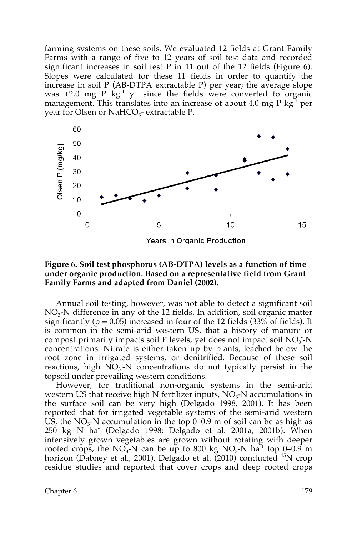farming systems on these soils. We evaluated 12 fields at Grant Family Farms with a range of five to 12 years of soil test data and recorded significant increases in soil test  $P$  in 11 out of the 12 fields (Figure 6). Slopes were calculated for these 11 fields in order to quantify the increase in soil P (AB-DTPA extractable P) per year; the average slope was  $+2.0$  mg P  $\text{kg}^{-1}$  y<sup>-1</sup> since the fields were converted to organic management. This translates into an increase of about 4.0 mg P  $kg<sup>-1</sup>$  per year for Olsen or NaHCO<sub>3</sub>- extractable P.



### **Figure 6. Soil test phosphorus (AB-DTPA) levels as a function of time under organic production. Based on a representative field from Grant Family Farms and adapted from Daniel (2002).**

Annual soil testing, however, was not able to detect a significant soil  $NO<sub>3</sub>$ -N difference in any of the 12 fields. In addition, soil organic matter significantly ( $p = 0.05$ ) increased in four of the 12 fields (33% of fields). It is common in the semi-arid western US. that a history of manure or compost primarily impacts soil P levels, yet does not impact soil  $NO<sub>3</sub>$ -N concentrations. Nitrate is either taken up by plants, leached below the root zone in irrigated systems, or denitrified. Because of these soil reactions, high  $\overline{NO_3}$ -N concentrations do not typically persist in the topsoil under prevailing western conditions.

However, for traditional non-organic systems in the semi-arid western US that receive high N fertilizer inputs,  $NO<sub>3</sub>$ -N accumulations in the surface soil can be very high (Delgado 1998, 2001). It has been reported that for irrigated vegetable systems of the semi-arid western US, the  $NO<sub>3</sub>$ -N accumulation in the top 0–0.9 m of soil can be as high as 250 kg N ha<sup>-1</sup> (Delgado 1998; Delgado et al. 2001a, 2001b). When intensively grown vegetables are grown without rotating with deeper rooted crops, the NO<sub>3</sub>-N can be up to 800 kg NO<sub>3</sub>-N ha<sup>-1</sup> top 0–0.9 m horizon (Dabney et al., 2001). Delgado et al. (2010) conducted <sup>15</sup>N crop residue studies and reported that cover crops and deep rooted crops

Chapter 6 179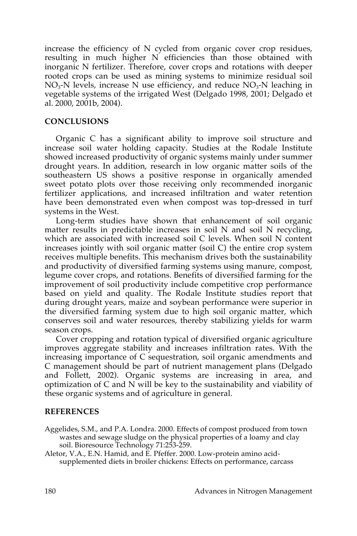increase the efficiency of N cycled from organic cover crop residues, resulting in much higher N efficiencies than those obtained with inorganic N fertilizer. Therefore, cover crops and rotations with deeper rooted crops can be used as mining systems to minimize residual soil  $NO<sub>3</sub>$ -N levels, increase N use efficiency, and reduce  $NO<sub>3</sub>$ -N leaching in vegetable systems of the irrigated West (Delgado 1998, 2001; Delgado et al. 2000, 2001b, 2004).

### **CONCLUSIONS**

Organic C has a significant ability to improve soil structure and increase soil water holding capacity. Studies at the Rodale Institute showed increased productivity of organic systems mainly under summer drought years. In addition, research in low organic matter soils of the southeastern US shows a positive response in organically amended sweet potato plots over those receiving only recommended inorganic fertilizer applications, and increased infiltration and water retention have been demonstrated even when compost was top-dressed in turf systems in the West.

Long-term studies have shown that enhancement of soil organic matter results in predictable increases in soil N and soil N recycling, which are associated with increased soil C levels. When soil N content increases jointly with soil organic matter (soil C) the entire crop system receives multiple benefits. This mechanism drives both the sustainability and productivity of diversified farming systems using manure, compost, legume cover crops, and rotations. Benefits of diversified farming for the improvement of soil productivity include competitive crop performance based on yield and quality. The Rodale Institute studies report that during drought years, maize and soybean performance were superior in the diversified farming system due to high soil organic matter, which conserves soil and water resources, thereby stabilizing yields for warm season crops.

Cover cropping and rotation typical of diversified organic agriculture improves aggregate stability and increases infiltration rates. With the increasing importance of C sequestration, soil organic amendments and C management should be part of nutrient management plans (Delgado and Follett, 2002). Organic systems are increasing in area, and optimization of C and N will be key to the sustainability and viability of these organic systems and of agriculture in general.

### **REFERENCES**

Aggelides, S.M., and P.A. Londra. 2000. Effects of compost produced from town wastes and sewage sludge on the physical properties of a loamy and clay soil. Bioresource Technology 71:253-259.

Aletor, V.A., E.N. Hamid, and E. Pfeffer. 2000. Low-protein amino acidsupplemented diets in broiler chickens: Effects on performance, carcass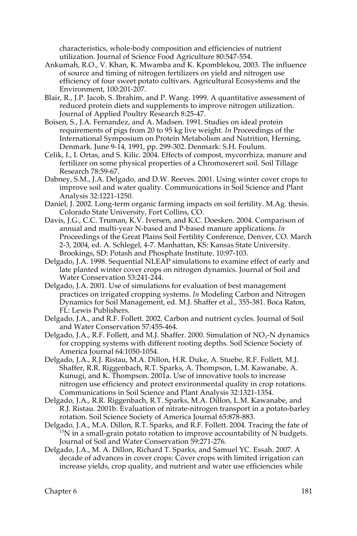characteristics, whole-body composition and efficiencies of nutrient utilization. Journal of Science Food Agriculture 80:547-554.

- Ankumah, R.O., V. Khan, K. Mwamba and K. Kpomblekou, 2003. The influence of source and timing of nitrogen fertilizers on yield and nitrogen use efficiency of four sweet potato cultivars. Agricultural Ecosystems and the Environment, 100:201-207.
- Blair, R., J.P. Jacob, S. Ibrahim, and P. Wang. 1999. A quantitative assessment of reduced protein diets and supplements to improve nitrogen utilization. Journal of Applied Poultry Research 8:25-47.
- Boisen, S., J.A. Fernandez, and A. Madsen. 1991. Studies on ideal protein requirements of pigs from 20 to 95 kg live weight. *In* Proceedings of the International Symposium on Protein Metabolism and Nutrition, Herning, Denmark. June 9-14, 1991, pp. 299-302. Denmark: S.H. Foulum.
- Celik, I., I. Ortas, and S. Kilic. 2004. Effects of compost, mycorrhiza, manure and fertilizer on some physical properties of a Chromoxerert soil. Soil Tillage Research 78:59-67.
- Dabney, S.M., J.A. Delgado, and D.W. Reeves. 2001. Using winter cover crops to improve soil and water quality. Communications in Soil Science and Plant Analysis 32:1221-1250.
- Daniel, J. 2002. Long-term organic farming impacts on soil fertility. M.Ag. thesis. Colorado State University, Fort Collins, CO.
- Davis, J.G., C.C. Truman, K.V. Iversen, and K.C. Doesken. 2004. Comparison of annual and multi-year N-based and P-based manure applications. *In* Proceedings of the Great Plains Soil Fertility Conference, Denver, CO. March 2-3, 2004, ed. A. Schlegel, 4-7. Manhattan, KS: Kansas State University. Brookings, SD: Potash and Phosphate Institute. 10:97-103.
- Delgado, J.A. 1998. Sequential NLEAP simulations to examine effect of early and late planted winter cover crops on nitrogen dynamics. Journal of Soil and Water Conservation 53:241-244.
- Delgado, J.A. 2001. Use of simulations for evaluation of best management practices on irrigated cropping systems. *In* Modeling Carbon and Nitrogen Dynamics for Soil Management, ed. M.J. Shaffer et al., 355-381. Boca Raton, FL: Lewis Publishers.
- Delgado, J.A., and R.F. Follett. 2002. Carbon and nutrient cycles. Journal of Soil and Water Conservation 57:455-464.
- Delgado, J.A., R.F. Follett, and M.J. Shaffer. 2000. Simulation of  $NO<sub>3</sub>$ -N dynamics for cropping systems with different rooting depths. Soil Science Society of America Journal 64:1050-1054.
- Delgado, J.A., R.J. Ristau, M.A. Dillon, H.R. Duke, A. Stuebe, R.F. Follett, M.J. Shaffer, R.R. Riggenbach, R.T. Sparks, A. Thompson, L.M. Kawanabe, A. Kunugi, and K. Thompson. 2001a. Use of innovative tools to increase nitrogen use efficiency and protect environmental quality in crop rotations. Communications in Soil Science and Plant Analysis 32:1321-1354.
- Delgado, J.A., R.R. Riggenbach, R.T. Sparks, M.A. Dillon, L.M. Kawanabe, and R.J. Ristau. 2001b. Evaluation of nitrate-nitrogen transport in a potato-barley rotation. Soil Science Society of America Journal 65:878-883.
- Delgado, J.A., M.A. Dillon, R.T. Sparks, and R.F. Follett. 2004. Tracing the fate of 15N in a small-grain potato rotation to improve accountability of N budgets. Journal of Soil and Water Conservation 59:271-276.
- Delgado, J.A., M. A. Dillon, Richard T. Sparks, and Samuel YC. Essah. 2007. A decade of advances in cover crops: Cover crops with limited irrigation can increase yields, crop quality, and nutrient and water use efficiencies while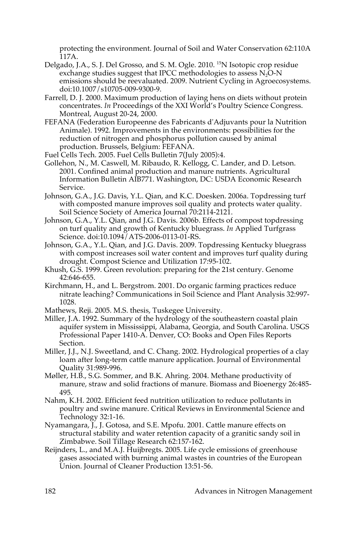protecting the environment. Journal of Soil and Water Conservation 62:110A 117A.

- Delgado, J.A., S. J. Del Grosso, and S. M. Ogle. 2010. <sup>15</sup>N Isotopic crop residue exchange studies suggest that IPCC methodologies to assess  $N<sub>2</sub>O-N$ emissions should be reevaluated. 2009. Nutrient Cycling in Agroecosystems. doi:10.1007/s10705-009-9300-9.
- Farrell, D. J. 2000. Maximum production of laying hens on diets without protein concentrates. *In* Proceedings of the XXI World's Poultry Science Congress. Montreal, August 20-24, 2000.
- FEFANA (Federation Europeenne des Fabricants d'Adjuvants pour la Nutrition Animale). 1992. Improvements in the environments: possibilities for the reduction of nitrogen and phosphorus pollution caused by animal production. Brussels, Belgium: FEFANA.
- Fuel Cells Tech. 2005. Fuel Cells Bulletin 7(July 2005):4.
- Gollehon, N., M. Caswell, M. Ribaudo, R. Kellogg, C. Lander, and D. Letson. 2001. Confined animal production and manure nutrients. Agricultural Information Bulletin AIB771. Washington, DC: USDA Economic Research Service.
- Johnson, G.A., J.G. Davis, Y.L. Qian, and K.C. Doesken. 2006a. Topdressing turf with composted manure improves soil quality and protects water quality. Soil Science Society of America Journal 70:2114-2121.
- Johnson, G.A., Y.L. Qian, and J.G. Davis. 2006b. Effects of compost topdressing on turf quality and growth of Kentucky bluegrass. *In* Applied Turfgrass Science. doi:10.1094/ATS-2006-0113-01-RS.
- Johnson, G.A., Y.L. Qian, and J.G. Davis. 2009. Topdressing Kentucky bluegrass with compost increases soil water content and improves turf quality during drought. Compost Science and Utilization 17:95-102.
- Khush, G.S. 1999. Green revolution: preparing for the 21st century. Genome 42:646-655.
- Kirchmann, H., and L. Bergstrom. 2001. Do organic farming practices reduce nitrate leaching? Communications in Soil Science and Plant Analysis 32:997- 1028.
- Mathews, Reji. 2005. M.S. thesis, Tuskegee University.
- Miller, J.A. 1992. Summary of the hydrology of the southeastern coastal plain aquifer system in Mississippi, Alabama, Georgia, and South Carolina. USGS Professional Paper 1410-A. Denver, CO: Books and Open Files Reports Section.
- Miller, J.J., N.J. Sweetland, and C. Chang. 2002. Hydrological properties of a clay loam after long-term cattle manure application. Journal of Environmental Quality 31:989-996.
- Møller, H.B., S.G. Sommer, and B.K. Ahring. 2004. Methane productivity of manure, straw and solid fractions of manure. Biomass and Bioenergy 26:485- 495.
- Nahm, K.H. 2002. Efficient feed nutrition utilization to reduce pollutants in poultry and swine manure. Critical Reviews in Environmental Science and Technology 32:1-16.
- Nyamangara, J., J. Gotosa, and S.E. Mpofu. 2001. Cattle manure effects on structural stability and water retention capacity of a granitic sandy soil in Zimbabwe. Soil Tillage Research 62:157-162.
- Reijnders, L., and M.A.J. Huijbregts. 2005. Life cycle emissions of greenhouse gases associated with burning animal wastes in countries of the European Union. Journal of Cleaner Production 13:51-56.